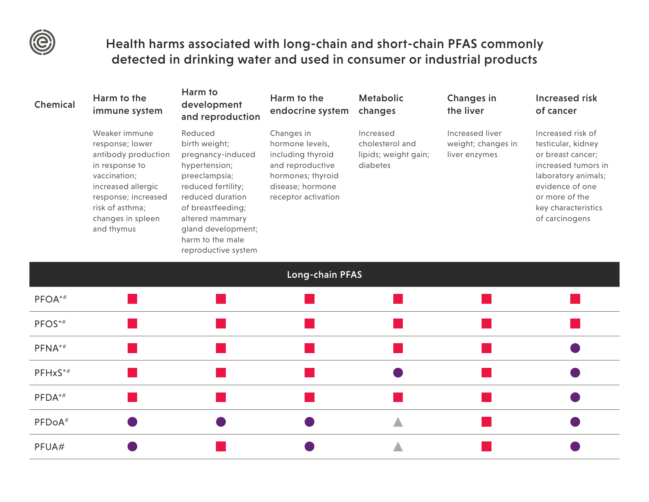

## Health harms associated with long-chain and short-chain PFAS commonly detected in drinking water and used in consumer or industrial products

| Chemical           | Harm to the<br>immune system                                                                                                                                                                 | Harm to<br>development<br>and reproduction                                                                                                                                                                                         | Harm to the<br>endocrine system                                                                                                        | <b>Metabolic</b><br>changes                                      | Changes in<br>the liver                                | <b>Increased risk</b><br>of cancer                                                                                                                                                       |
|--------------------|----------------------------------------------------------------------------------------------------------------------------------------------------------------------------------------------|------------------------------------------------------------------------------------------------------------------------------------------------------------------------------------------------------------------------------------|----------------------------------------------------------------------------------------------------------------------------------------|------------------------------------------------------------------|--------------------------------------------------------|------------------------------------------------------------------------------------------------------------------------------------------------------------------------------------------|
|                    | Weaker immune<br>response; lower<br>antibody production<br>in response to<br>vaccination;<br>increased allergic<br>response; increased<br>risk of asthma;<br>changes in spleen<br>and thymus | Reduced<br>birth weight;<br>pregnancy-induced<br>hypertension;<br>preeclampsia;<br>reduced fertility;<br>reduced duration<br>of breastfeeding;<br>altered mammary<br>gland development;<br>harm to the male<br>reproductive system | Changes in<br>hormone levels,<br>including thyroid<br>and reproductive<br>hormones; thyroid<br>disease; hormone<br>receptor activation | Increased<br>cholesterol and<br>lipids; weight gain;<br>diabetes | Increased liver<br>weight; changes in<br>liver enzymes | Increased risk of<br>testicular, kidney<br>or breast cancer;<br>increased tumors in<br>laboratory animals;<br>evidence of one<br>or more of the<br>key characteristics<br>of carcinogens |
|                    |                                                                                                                                                                                              |                                                                                                                                                                                                                                    | Long-chain PFAS                                                                                                                        |                                                                  |                                                        |                                                                                                                                                                                          |
| PFOA*#             |                                                                                                                                                                                              |                                                                                                                                                                                                                                    |                                                                                                                                        |                                                                  |                                                        |                                                                                                                                                                                          |
| PFOS*#             |                                                                                                                                                                                              |                                                                                                                                                                                                                                    |                                                                                                                                        |                                                                  |                                                        |                                                                                                                                                                                          |
| PFNA*#             |                                                                                                                                                                                              |                                                                                                                                                                                                                                    |                                                                                                                                        |                                                                  |                                                        |                                                                                                                                                                                          |
| PFHxS*#            |                                                                                                                                                                                              |                                                                                                                                                                                                                                    |                                                                                                                                        |                                                                  |                                                        |                                                                                                                                                                                          |
| PFDA*#             |                                                                                                                                                                                              |                                                                                                                                                                                                                                    |                                                                                                                                        |                                                                  |                                                        |                                                                                                                                                                                          |
| PFDoA <sup>#</sup> |                                                                                                                                                                                              |                                                                                                                                                                                                                                    |                                                                                                                                        |                                                                  |                                                        |                                                                                                                                                                                          |
| PFUA#              |                                                                                                                                                                                              |                                                                                                                                                                                                                                    |                                                                                                                                        |                                                                  |                                                        |                                                                                                                                                                                          |